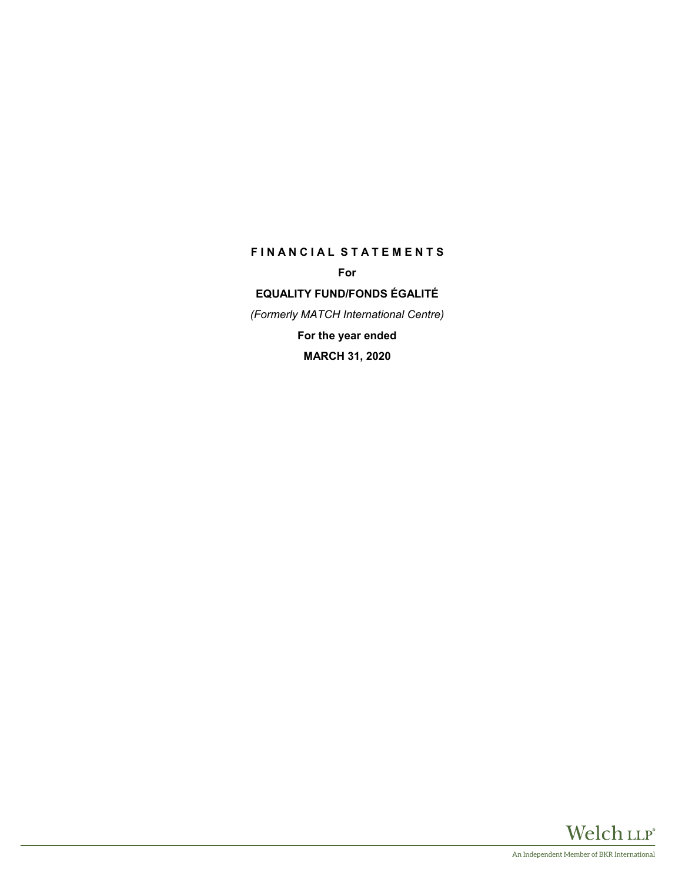#### **F I N A N C I A L S T A T E M E N T S**

**For**

## **EQUALITY FUND/FONDS ÉGALITÉ**

*(Formerly MATCH International Centre)* **For the year ended MARCH 31, 2020**

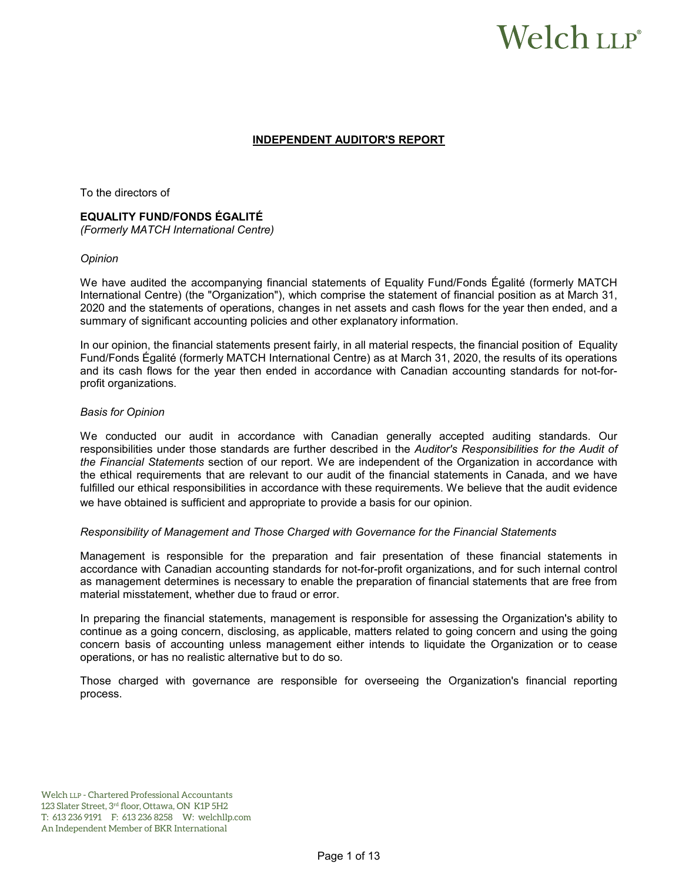# Welch LLP®

#### **INDEPENDENT AUDITOR'S REPORT**

To the directors of

#### **EQUALITY FUND/FONDS ÉGALITÉ**

*(Formerly MATCH International Centre)*

#### *Opinion*

We have audited the accompanying financial statements of Equality Fund/Fonds Égalité (formerly MATCH International Centre) (the "Organization"), which comprise the statement of financial position as at March 31, 2020 and the statements of operations, changes in net assets and cash flows for the year then ended, and a summary of significant accounting policies and other explanatory information.

In our opinion, the financial statements present fairly, in all material respects, the financial position of Equality Fund/Fonds Égalité (formerly MATCH International Centre) as at March 31, 2020, the results of its operations and its cash flows for the year then ended in accordance with Canadian accounting standards for not-forprofit organizations.

#### *Basis for Opinion*

We conducted our audit in accordance with Canadian generally accepted auditing standards. Our responsibilities under those standards are further described in the *Auditor's Responsibilities for the Audit of the Financial Statements* section of our report. We are independent of the Organization in accordance with the ethical requirements that are relevant to our audit of the financial statements in Canada, and we have fulfilled our ethical responsibilities in accordance with these requirements. We believe that the audit evidence we have obtained is sufficient and appropriate to provide a basis for our opinion.

#### *Responsibility of Management and Those Charged with Governance for the Financial Statements*

Management is responsible for the preparation and fair presentation of these financial statements in accordance with Canadian accounting standards for not-for-profit organizations, and for such internal control as management determines is necessary to enable the preparation of financial statements that are free from material misstatement, whether due to fraud or error.

In preparing the financial statements, management is responsible for assessing the Organization's ability to continue as a going concern, disclosing, as applicable, matters related to going concern and using the going concern basis of accounting unless management either intends to liquidate the Organization or to cease operations, or has no realistic alternative but to do so.

Those charged with governance are responsible for overseeing the Organization's financial reporting process.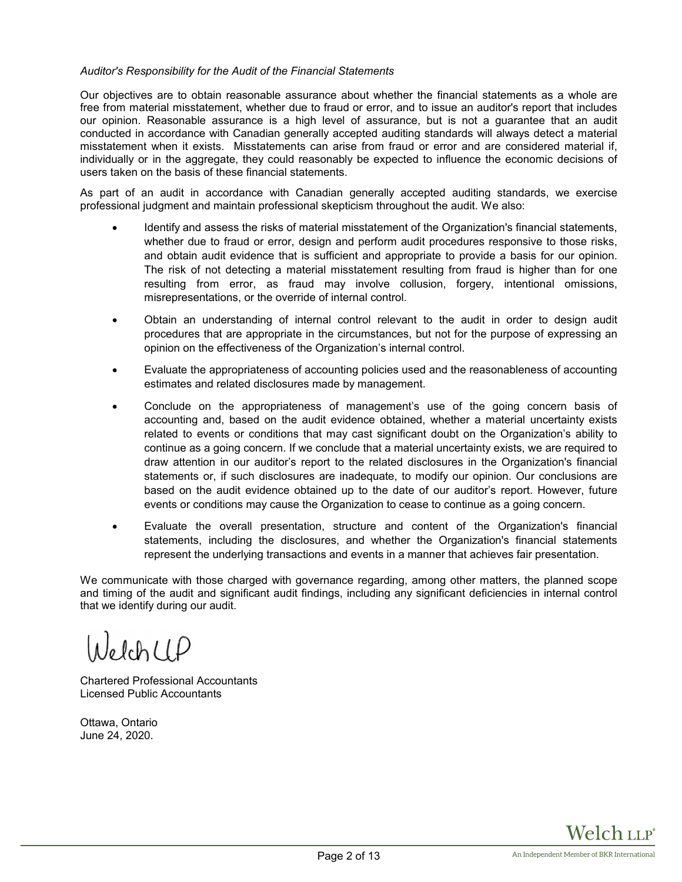#### *Auditor's Responsibility for the Audit of the Financial Statements*

Our objectives are to obtain reasonable assurance about whether the financial statements as a whole are free from material misstatement, whether due to fraud or error, and to issue an auditor's report that includes our opinion. Reasonable assurance is a high level of assurance, but is not a guarantee that an audit conducted in accordance with Canadian generally accepted auditing standards will always detect a material misstatement when it exists. Misstatements can arise from fraud or error and are considered material if, individually or in the aggregate, they could reasonably be expected to influence the economic decisions of users taken on the basis of these financial statements.

As part of an audit in accordance with Canadian generally accepted auditing standards, we exercise professional judgment and maintain professional skepticism throughout the audit. We also:

- Identify and assess the risks of material misstatement of the Organization's financial statements, whether due to fraud or error, design and perform audit procedures responsive to those risks, and obtain audit evidence that is sufficient and appropriate to provide a basis for our opinion. The risk of not detecting a material misstatement resulting from fraud is higher than for one resulting from error, as fraud may involve collusion, forgery, intentional omissions, misrepresentations, or the override of internal control.
- Obtain an understanding of internal control relevant to the audit in order to design audit procedures that are appropriate in the circumstances, but not for the purpose of expressing an opinion on the effectiveness of the Organization's internal control.
- Evaluate the appropriateness of accounting policies used and the reasonableness of accounting estimates and related disclosures made by management.
- Conclude on the appropriateness of management's use of the going concern basis of accounting and, based on the audit evidence obtained, whether a material uncertainty exists related to events or conditions that may cast significant doubt on the Organization's ability to continue as a going concern. If we conclude that a material uncertainty exists, we are required to draw attention in our auditor's report to the related disclosures in the Organization's financial statements or, if such disclosures are inadequate, to modify our opinion. Our conclusions are based on the audit evidence obtained up to the date of our auditor's report. However, future events or conditions may cause the Organization to cease to continue as a going concern.
- Evaluate the overall presentation, structure and content of the Organization's financial statements, including the disclosures, and whether the Organization's financial statements represent the underlying transactions and events in a manner that achieves fair presentation.

We communicate with those charged with governance regarding, among other matters, the planned scope and timing of the audit and significant audit findings, including any significant deficiencies in internal control that we identify during our audit.

lelchUP

Chartered Professional Accountants Licensed Public Accountants

Ottawa, Ontario June 24, 2020.

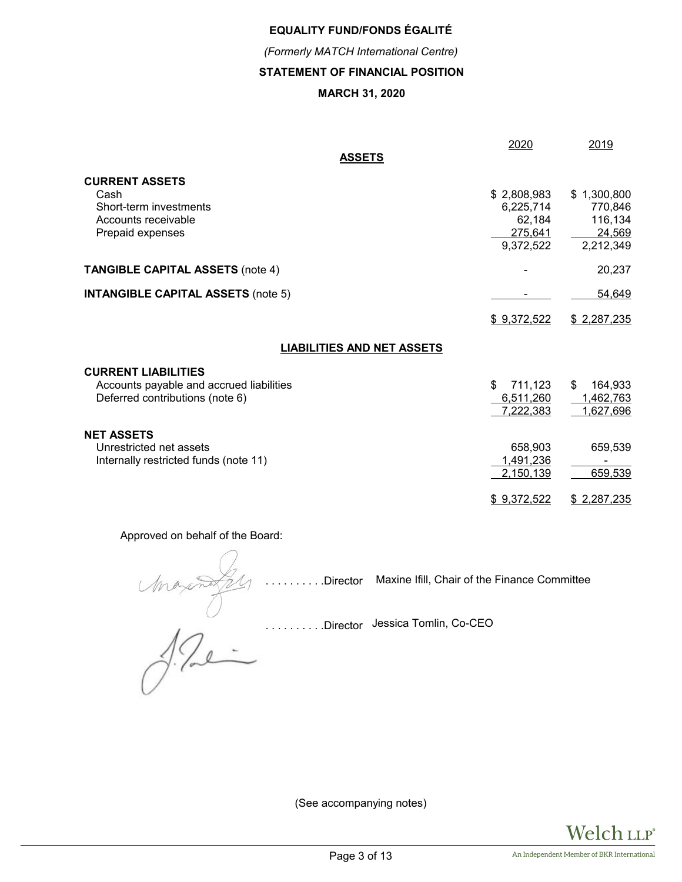*(Formerly MATCH International Centre)*

#### **STATEMENT OF FINANCIAL POSITION**

#### **MARCH 31, 2020**

|                                           | 2020          | 2019          |
|-------------------------------------------|---------------|---------------|
| <b>ASSETS</b>                             |               |               |
| <b>CURRENT ASSETS</b>                     |               |               |
| Cash                                      | \$2,808,983   | \$1,300,800   |
| Short-term investments                    | 6,225,714     | 770,846       |
| Accounts receivable                       | 62,184        | 116,134       |
| Prepaid expenses                          | 275,641       | 24,569        |
|                                           | 9,372,522     | 2,212,349     |
| <b>TANGIBLE CAPITAL ASSETS (note 4)</b>   |               | 20,237        |
| <b>INTANGIBLE CAPITAL ASSETS (note 5)</b> |               | 54,649        |
|                                           | \$9,372,522   | \$2,287,235   |
| <b>LIABILITIES AND NET ASSETS</b>         |               |               |
| <b>CURRENT LIABILITIES</b>                |               |               |
| Accounts payable and accrued liabilities  | 711,123<br>\$ | \$<br>164,933 |
| Deferred contributions (note 6)           | 6,511,260     | 1,462,763     |
|                                           | 7,222,383     | 1,627,696     |
| <b>NET ASSETS</b>                         |               |               |
| Unrestricted net assets                   | 658,903       | 659,539       |
| Internally restricted funds (note 11)     | 1,491,236     | ۰             |
|                                           | 2,150,139     | 659,539       |
|                                           | \$9,372,522   | \$2,287,235   |

Approved on behalf of the Board:

 $\iota$  he a state that  $\iota$  ............Director

Maxine Ifill, Chair of the Finance Committee

. . . . . . . . . . . . . . . . . . . . . . . . . . . . . . .Director Jessica Tomlin, Co-CEO

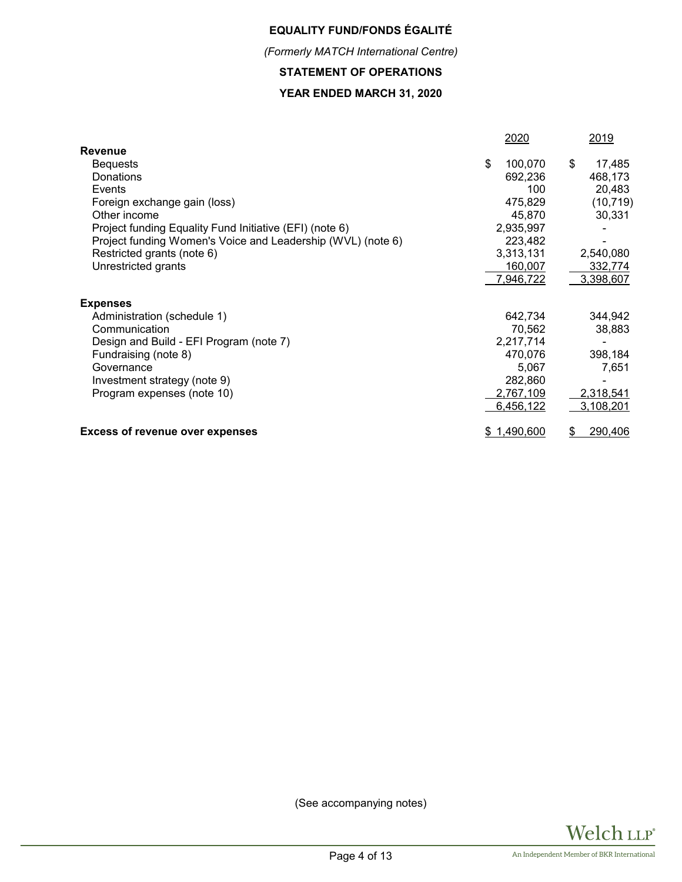## *(Formerly MATCH International Centre)*

## **STATEMENT OF OPERATIONS**

## **YEAR ENDED MARCH 31, 2020**

| <b>Revenue</b><br>\$<br>\$<br>100,070<br><b>Bequests</b>                    | 17,485 |
|-----------------------------------------------------------------------------|--------|
|                                                                             |        |
|                                                                             |        |
| Donations<br>692,236<br>468,173                                             |        |
| 100<br>Events                                                               | 20,483 |
| 475,829<br>(10, 719)<br>Foreign exchange gain (loss)                        |        |
| Other income<br>45,870                                                      | 30,331 |
| 2,935,997<br>Project funding Equality Fund Initiative (EFI) (note 6)        |        |
| Project funding Women's Voice and Leadership (WVL) (note 6)<br>223,482      |        |
| Restricted grants (note 6)<br>3,313,131<br>2,540,080                        |        |
| Unrestricted grants<br>160,007<br>332,774                                   |        |
| 7,946,722<br>3,398,607                                                      |        |
| <b>Expenses</b>                                                             |        |
| 642,734<br>344,942<br>Administration (schedule 1)                           |        |
| Communication<br>70,562                                                     | 38,883 |
| 2,217,714<br>Design and Build - EFI Program (note 7)                        |        |
| Fundraising (note 8)<br>470,076<br>398,184                                  |        |
| Governance<br>5,067                                                         | 7,651  |
| Investment strategy (note 9)<br>282,860                                     |        |
| 2,767,109<br>Program expenses (note 10)<br>2,318,541                        |        |
| 6,456,122<br>3,108,201                                                      |        |
| 1,490,600<br>290,406<br>\$<br><b>Excess of revenue over expenses</b><br>\$. |        |

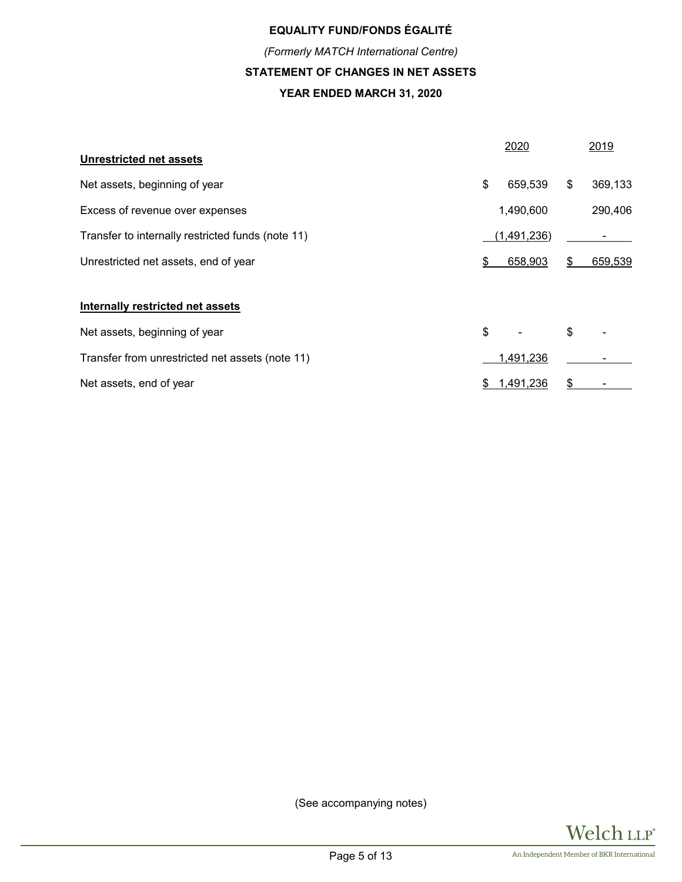## **EQUALITY FUND/FONDS ÉGALITÉ** *(Formerly MATCH International Centre)* **STATEMENT OF CHANGES IN NET ASSETS YEAR ENDED MARCH 31, 2020**

| <b>Unrestricted net assets</b>                    | 2020            | 2019          |
|---------------------------------------------------|-----------------|---------------|
| Net assets, beginning of year                     | \$<br>659,539   | \$<br>369,133 |
| Excess of revenue over expenses                   | 1,490,600       | 290,406       |
| Transfer to internally restricted funds (note 11) | (1,491,236)     |               |
| Unrestricted net assets, end of year              | \$<br>658,903   | \$<br>659,539 |
| Internally restricted net assets                  |                 |               |
| Net assets, beginning of year                     | \$              | \$            |
| Transfer from unrestricted net assets (note 11)   | 1,491,236       |               |
| Net assets, end of year                           | \$<br>1,491,236 | \$            |

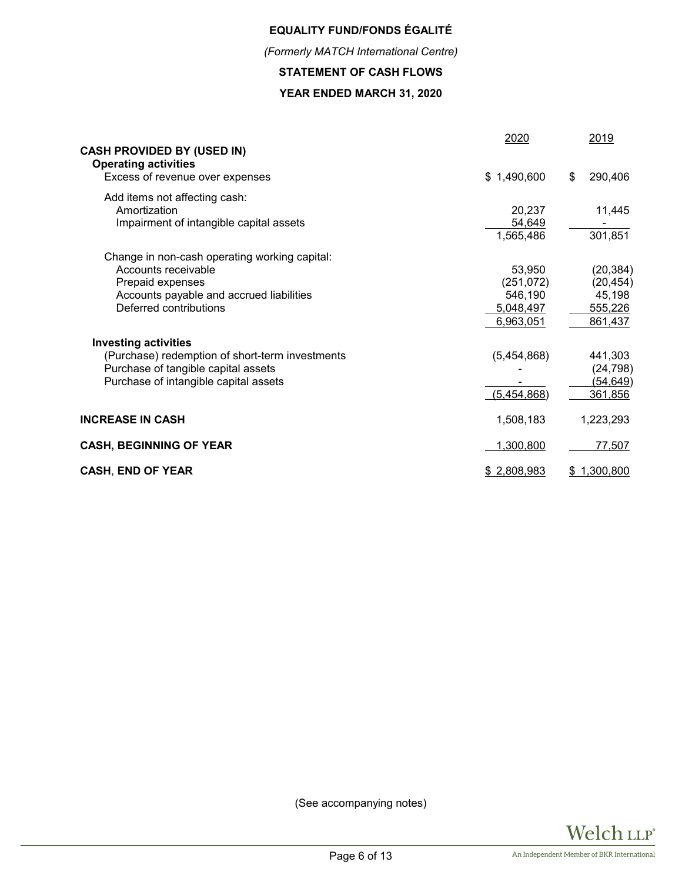*(Formerly MATCH International Centre)*

## **STATEMENT OF CASH FLOWS**

## **YEAR ENDED MARCH 31, 2020**

|                                                                  | 2020        | 2019            |
|------------------------------------------------------------------|-------------|-----------------|
| <b>CASH PROVIDED BY (USED IN)</b><br><b>Operating activities</b> |             |                 |
| Excess of revenue over expenses                                  | \$1,490,600 | 290,406<br>\$   |
| Add items not affecting cash:                                    |             |                 |
| Amortization                                                     | 20,237      | 11,445          |
| Impairment of intangible capital assets                          | 54,649      |                 |
|                                                                  | 1,565,486   | 301,851         |
| Change in non-cash operating working capital:                    |             |                 |
| Accounts receivable                                              | 53,950      | (20, 384)       |
| Prepaid expenses                                                 | (251, 072)  | (20, 454)       |
| Accounts payable and accrued liabilities                         | 546,190     | 45,198          |
| Deferred contributions                                           | 5,048,497   | 555,226         |
|                                                                  | 6,963,051   | 861,437         |
| <b>Investing activities</b>                                      |             |                 |
| (Purchase) redemption of short-term investments                  | (5,454,868) | 441,303         |
| Purchase of tangible capital assets                              |             | (24, 798)       |
| Purchase of intangible capital assets                            |             | <u>(54,649)</u> |
|                                                                  | (5,454,868) | 361,856         |
| <b>INCREASE IN CASH</b>                                          | 1,508,183   | 1,223,293       |
| <b>CASH, BEGINNING OF YEAR</b>                                   | 1,300,800   | 77,507          |
| <b>CASH, END OF YEAR</b>                                         | \$2,808,983 | \$1,300,800     |

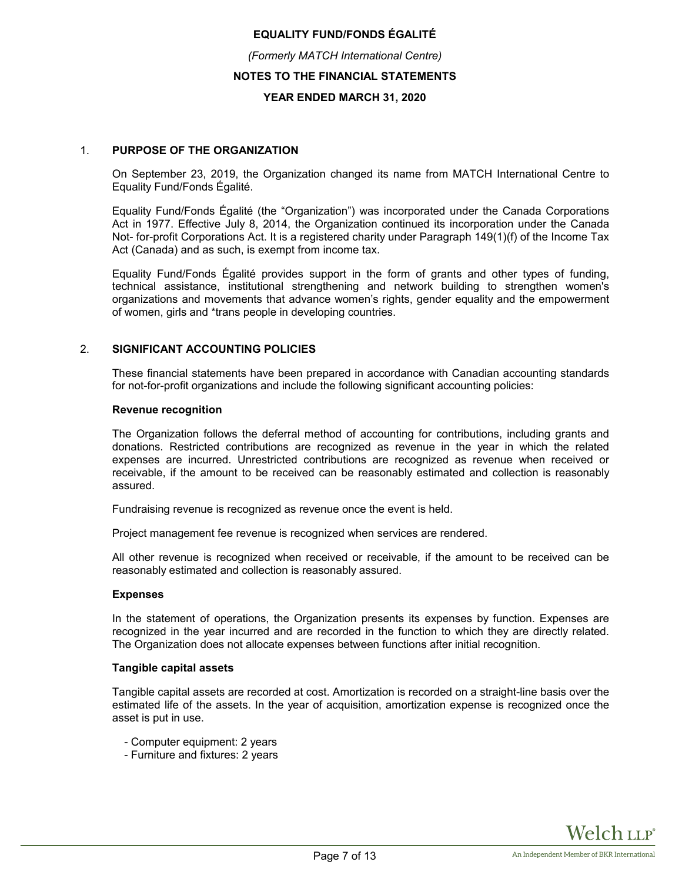*(Formerly MATCH International Centre)*

#### **NOTES TO THE FINANCIAL STATEMENTS**

#### **YEAR ENDED MARCH 31, 2020**

#### 1. **PURPOSE OF THE ORGANIZATION**

On September 23, 2019, the Organization changed its name from MATCH International Centre to Equality Fund/Fonds Égalité.

Equality Fund/Fonds Égalité (the "Organization") was incorporated under the Canada Corporations Act in 1977. Effective July 8, 2014, the Organization continued its incorporation under the Canada Not- for-profit Corporations Act. It is a registered charity under Paragraph 149(1)(f) of the Income Tax Act (Canada) and as such, is exempt from income tax.

Equality Fund/Fonds Égalité provides support in the form of grants and other types of funding, technical assistance, institutional strengthening and network building to strengthen women's organizations and movements that advance women's rights, gender equality and the empowerment of women, girls and \*trans people in developing countries.

#### 2. **SIGNIFICANT ACCOUNTING POLICIES**

These financial statements have been prepared in accordance with Canadian accounting standards for not-for-profit organizations and include the following significant accounting policies:

#### **Revenue recognition**

The Organization follows the deferral method of accounting for contributions, including grants and donations. Restricted contributions are recognized as revenue in the year in which the related expenses are incurred. Unrestricted contributions are recognized as revenue when received or receivable, if the amount to be received can be reasonably estimated and collection is reasonably assured.

Fundraising revenue is recognized as revenue once the event is held.

Project management fee revenue is recognized when services are rendered.

All other revenue is recognized when received or receivable, if the amount to be received can be reasonably estimated and collection is reasonably assured.

#### **Expenses**

In the statement of operations, the Organization presents its expenses by function. Expenses are recognized in the year incurred and are recorded in the function to which they are directly related. The Organization does not allocate expenses between functions after initial recognition.

#### **Tangible capital assets**

Tangible capital assets are recorded at cost. Amortization is recorded on a straight-line basis over the estimated life of the assets. In the year of acquisition, amortization expense is recognized once the asset is put in use.

- Computer equipment: 2 years
- Furniture and fixtures: 2 years

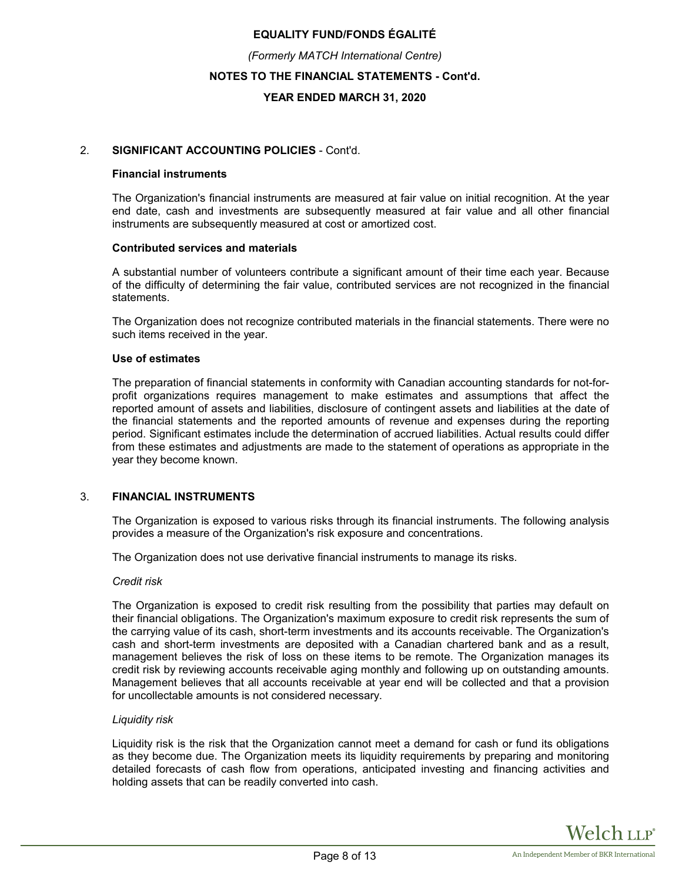*(Formerly MATCH International Centre)*

**NOTES TO THE FINANCIAL STATEMENTS - Cont'd.**

#### **YEAR ENDED MARCH 31, 2020**

#### 2. **SIGNIFICANT ACCOUNTING POLICIES** - Cont'd.

#### **Financial instruments**

The Organization's financial instruments are measured at fair value on initial recognition. At the year end date, cash and investments are subsequently measured at fair value and all other financial instruments are subsequently measured at cost or amortized cost.

#### **Contributed services and materials**

A substantial number of volunteers contribute a significant amount of their time each year. Because of the difficulty of determining the fair value, contributed services are not recognized in the financial statements.

The Organization does not recognize contributed materials in the financial statements. There were no such items received in the year.

#### **Use of estimates**

The preparation of financial statements in conformity with Canadian accounting standards for not-forprofit organizations requires management to make estimates and assumptions that affect the reported amount of assets and liabilities, disclosure of contingent assets and liabilities at the date of the financial statements and the reported amounts of revenue and expenses during the reporting period. Significant estimates include the determination of accrued liabilities. Actual results could differ from these estimates and adjustments are made to the statement of operations as appropriate in the year they become known.

#### 3. **FINANCIAL INSTRUMENTS**

The Organization is exposed to various risks through its financial instruments. The following analysis provides a measure of the Organization's risk exposure and concentrations.

The Organization does not use derivative financial instruments to manage its risks.

#### *Credit risk*

The Organization is exposed to credit risk resulting from the possibility that parties may default on their financial obligations. The Organization's maximum exposure to credit risk represents the sum of the carrying value of its cash, short-term investments and its accounts receivable. The Organization's cash and short-term investments are deposited with a Canadian chartered bank and as a result, management believes the risk of loss on these items to be remote. The Organization manages its credit risk by reviewing accounts receivable aging monthly and following up on outstanding amounts. Management believes that all accounts receivable at year end will be collected and that a provision for uncollectable amounts is not considered necessary.

#### *Liquidity risk*

Liquidity risk is the risk that the Organization cannot meet a demand for cash or fund its obligations as they become due. The Organization meets its liquidity requirements by preparing and monitoring detailed forecasts of cash flow from operations, anticipated investing and financing activities and holding assets that can be readily converted into cash.

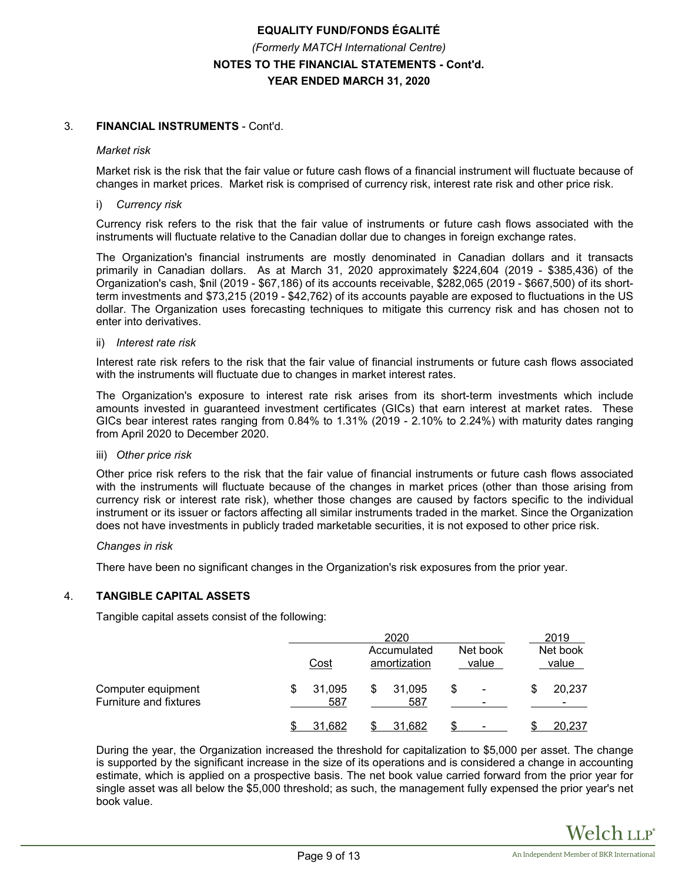## **EQUALITY FUND/FONDS ÉGALITÉ** *(Formerly MATCH International Centre)* **NOTES TO THE FINANCIAL STATEMENTS - Cont'd. YEAR ENDED MARCH 31, 2020**

#### 3. **FINANCIAL INSTRUMENTS** - Cont'd.

#### *Market risk*

Market risk is the risk that the fair value or future cash flows of a financial instrument will fluctuate because of changes in market prices. Market risk is comprised of currency risk, interest rate risk and other price risk.

#### i) *Currency risk*

Currency risk refers to the risk that the fair value of instruments or future cash flows associated with the instruments will fluctuate relative to the Canadian dollar due to changes in foreign exchange rates.

The Organization's financial instruments are mostly denominated in Canadian dollars and it transacts primarily in Canadian dollars. As at March 31, 2020 approximately \$224,604 (2019 - \$385,436) of the Organization's cash, \$nil (2019 - \$67,186) of its accounts receivable, \$282,065 (2019 - \$667,500) of its shortterm investments and \$73,215 (2019 - \$42,762) of its accounts payable are exposed to fluctuations in the US dollar. The Organization uses forecasting techniques to mitigate this currency risk and has chosen not to enter into derivatives.

#### ii) *Interest rate risk*

Interest rate risk refers to the risk that the fair value of financial instruments or future cash flows associated with the instruments will fluctuate due to changes in market interest rates.

The Organization's exposure to interest rate risk arises from its short-term investments which include amounts invested in guaranteed investment certificates (GICs) that earn interest at market rates. These GICs bear interest rates ranging from 0.84% to 1.31% (2019 - 2.10% to 2.24%) with maturity dates ranging from April 2020 to December 2020.

#### iii) *Other price risk*

Other price risk refers to the risk that the fair value of financial instruments or future cash flows associated with the instruments will fluctuate because of the changes in market prices (other than those arising from currency risk or interest rate risk), whether those changes are caused by factors specific to the individual instrument or its issuer or factors affecting all similar instruments traded in the market. Since the Organization does not have investments in publicly traded marketable securities, it is not exposed to other price risk.

#### *Changes in risk*

There have been no significant changes in the Organization's risk exposures from the prior year.

#### 4. **TANGIBLE CAPITAL ASSETS**

Tangible capital assets consist of the following:

|                                              |                     | 2020                        |                                | 2019              |
|----------------------------------------------|---------------------|-----------------------------|--------------------------------|-------------------|
|                                              | Cost                | Accumulated<br>amortization | Net book<br>value              | Net book<br>value |
| Computer equipment<br>Furniture and fixtures | \$<br>31,095<br>587 | \$<br>31,095<br>587         | \$<br>$\overline{\phantom{0}}$ | \$<br>20,237      |
|                                              | 31.682              | 31.682                      |                                | 20,237            |

During the year, the Organization increased the threshold for capitalization to \$5,000 per asset. The change is supported by the significant increase in the size of its operations and is considered a change in accounting estimate, which is applied on a prospective basis. The net book value carried forward from the prior year for single asset was all below the \$5,000 threshold; as such, the management fully expensed the prior year's net book value.

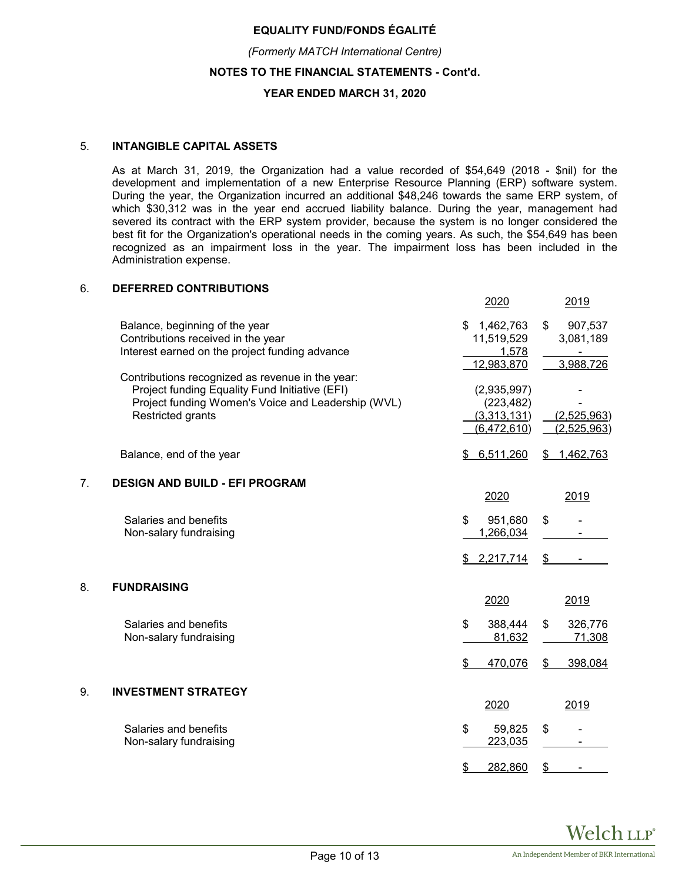#### *(Formerly MATCH International Centre)*

#### **NOTES TO THE FINANCIAL STATEMENTS - Cont'd.**

#### **YEAR ENDED MARCH 31, 2020**

#### 5. **INTANGIBLE CAPITAL ASSETS**

As at March 31, 2019, the Organization had a value recorded of \$54,649 (2018 - \$nil) for the development and implementation of a new Enterprise Resource Planning (ERP) software system. During the year, the Organization incurred an additional \$48,246 towards the same ERP system, of which \$30,312 was in the year end accrued liability balance. During the year, management had severed its contract with the ERP system provider, because the system is no longer considered the best fit for the Organization's operational needs in the coming years. As such, the \$54,649 has been recognized as an impairment loss in the year. The impairment loss has been included in the Administration expense.

#### 6. **DEFERRED CONTRIBUTIONS**

|    |                                                                                                                                                                                                                                                                                                         |                                                                                                                 | <u>____</u>                                                                                  |
|----|---------------------------------------------------------------------------------------------------------------------------------------------------------------------------------------------------------------------------------------------------------------------------------------------------------|-----------------------------------------------------------------------------------------------------------------|----------------------------------------------------------------------------------------------|
|    | Balance, beginning of the year<br>Contributions received in the year<br>Interest earned on the project funding advance<br>Contributions recognized as revenue in the year:<br>Project funding Equality Fund Initiative (EFI)<br>Project funding Women's Voice and Leadership (WVL)<br>Restricted grants | \$<br>1,462,763<br>11,519,529<br>1,578<br>12,983,870<br>(2,935,997)<br>(223, 482)<br>(3,313,131)<br>(6,472,610) | $\boldsymbol{\mathsf{s}}$<br>907,537<br>3,081,189<br>3,988,726<br>(2,525,963)<br>(2,525,963) |
|    | Balance, end of the year                                                                                                                                                                                                                                                                                | \$6,511,260                                                                                                     | 1,462,763<br>\$                                                                              |
| 7. | <b>DESIGN AND BUILD - EFI PROGRAM</b>                                                                                                                                                                                                                                                                   | 2020                                                                                                            | 2019                                                                                         |
|    | Salaries and benefits<br>Non-salary fundraising                                                                                                                                                                                                                                                         | \$<br>951,680<br>1,266,034                                                                                      | \$                                                                                           |
| 8. | <b>FUNDRAISING</b>                                                                                                                                                                                                                                                                                      | \$2,217,714                                                                                                     | $\frac{1}{2}$                                                                                |
|    |                                                                                                                                                                                                                                                                                                         | 2020                                                                                                            | 2019                                                                                         |
|    | Salaries and benefits<br>Non-salary fundraising                                                                                                                                                                                                                                                         | \$<br>388,444<br>81,632                                                                                         | \$<br>326,776<br>71,308                                                                      |
|    |                                                                                                                                                                                                                                                                                                         | $\frac{1}{2}$<br>470,076                                                                                        | 398,084<br>\$                                                                                |
| 9. | <b>INVESTMENT STRATEGY</b>                                                                                                                                                                                                                                                                              | 2020                                                                                                            | 2019                                                                                         |
|    | Salaries and benefits<br>Non-salary fundraising                                                                                                                                                                                                                                                         | \$<br>59,825<br>223,035                                                                                         | \$                                                                                           |
|    |                                                                                                                                                                                                                                                                                                         | $\frac{2}{3}$<br>282,860                                                                                        | $\overline{P}$                                                                               |



2020 2019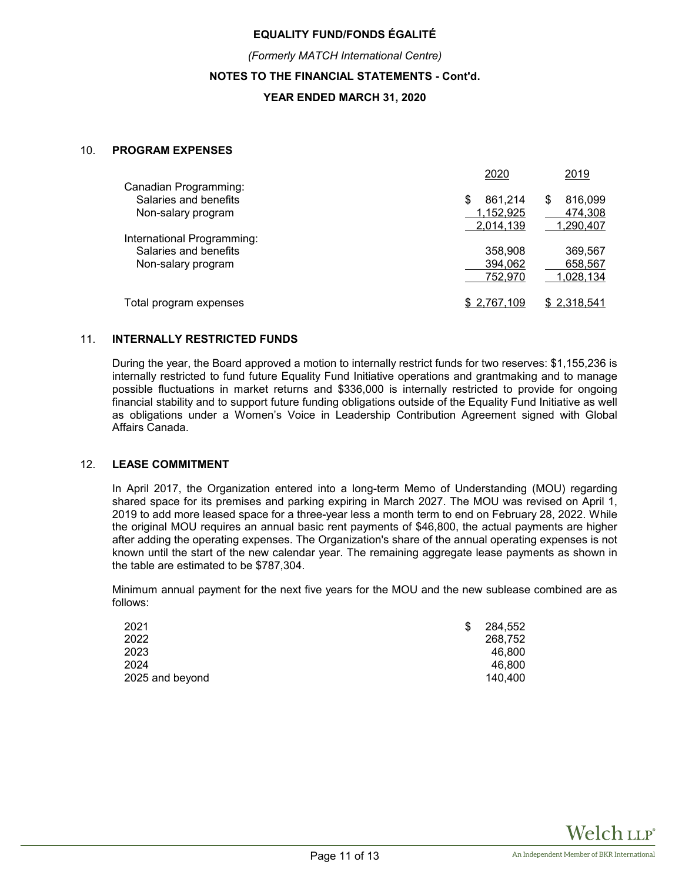#### *(Formerly MATCH International Centre)*

#### **NOTES TO THE FINANCIAL STATEMENTS - Cont'd.**

#### **YEAR ENDED MARCH 31, 2020**

#### 10. **PROGRAM EXPENSES**

|                            | 2020         | 2019         |
|----------------------------|--------------|--------------|
| Canadian Programming:      |              |              |
| Salaries and benefits      | 861.214<br>S | 816,099<br>S |
| Non-salary program         | 1,152,925    | 474,308      |
|                            | 2,014,139    | 1,290,407    |
| International Programming: |              |              |
| Salaries and benefits      | 358,908      | 369,567      |
| Non-salary program         | 394.062      | 658,567      |
|                            | 752.970      | 1,028,134    |
| Total program expenses     | \$2.767.109  | \$2.318.541  |

#### 11. **INTERNALLY RESTRICTED FUNDS**

During the year, the Board approved a motion to internally restrict funds for two reserves: \$1,155,236 is internally restricted to fund future Equality Fund Initiative operations and grantmaking and to manage possible fluctuations in market returns and \$336,000 is internally restricted to provide for ongoing financial stability and to support future funding obligations outside of the Equality Fund Initiative as well as obligations under a Women's Voice in Leadership Contribution Agreement signed with Global Affairs Canada.

#### 12. **LEASE COMMITMENT**

In April 2017, the Organization entered into a long-term Memo of Understanding (MOU) regarding shared space for its premises and parking expiring in March 2027. The MOU was revised on April 1, 2019 to add more leased space for a three-year less a month term to end on February 28, 2022. While the original MOU requires an annual basic rent payments of \$46,800, the actual payments are higher after adding the operating expenses. The Organization's share of the annual operating expenses is not known until the start of the new calendar year. The remaining aggregate lease payments as shown in the table are estimated to be \$787,304.

Minimum annual payment for the next five years for the MOU and the new sublease combined are as follows:

| S | 284,552 |
|---|---------|
|   | 268.752 |
|   | 46.800  |
|   | 46.800  |
|   | 140.400 |
|   |         |

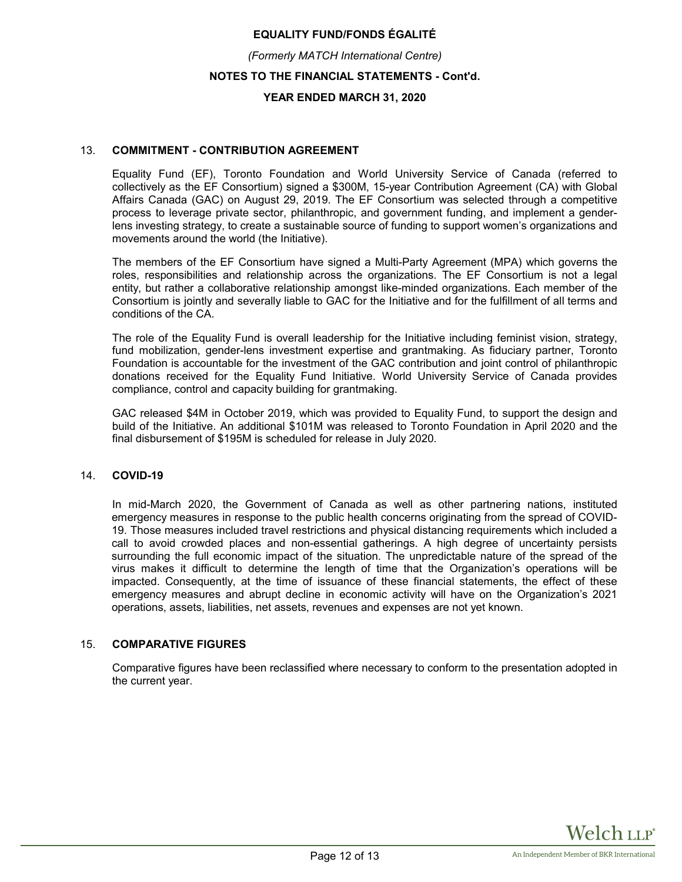*(Formerly MATCH International Centre)*

#### **NOTES TO THE FINANCIAL STATEMENTS - Cont'd.**

#### **YEAR ENDED MARCH 31, 2020**

#### 13. **COMMITMENT - CONTRIBUTION AGREEMENT**

Equality Fund (EF), Toronto Foundation and World University Service of Canada (referred to collectively as the EF Consortium) signed a \$300M, 15-year Contribution Agreement (CA) with Global Affairs Canada (GAC) on August 29, 2019. The EF Consortium was selected through a competitive process to leverage private sector, philanthropic, and government funding, and implement a genderlens investing strategy, to create a sustainable source of funding to support women's organizations and movements around the world (the Initiative).

The members of the EF Consortium have signed a Multi-Party Agreement (MPA) which governs the roles, responsibilities and relationship across the organizations. The EF Consortium is not a legal entity, but rather a collaborative relationship amongst like-minded organizations. Each member of the Consortium is jointly and severally liable to GAC for the Initiative and for the fulfillment of all terms and conditions of the CA.

The role of the Equality Fund is overall leadership for the Initiative including feminist vision, strategy, fund mobilization, gender-lens investment expertise and grantmaking. As fiduciary partner, Toronto Foundation is accountable for the investment of the GAC contribution and joint control of philanthropic donations received for the Equality Fund Initiative. World University Service of Canada provides compliance, control and capacity building for grantmaking.

GAC released \$4M in October 2019, which was provided to Equality Fund, to support the design and build of the Initiative. An additional \$101M was released to Toronto Foundation in April 2020 and the final disbursement of \$195M is scheduled for release in July 2020.

#### 14. **COVID-19**

In mid-March 2020, the Government of Canada as well as other partnering nations, instituted emergency measures in response to the public health concerns originating from the spread of COVID-19. Those measures included travel restrictions and physical distancing requirements which included a call to avoid crowded places and non-essential gatherings. A high degree of uncertainty persists surrounding the full economic impact of the situation. The unpredictable nature of the spread of the virus makes it difficult to determine the length of time that the Organization's operations will be impacted. Consequently, at the time of issuance of these financial statements, the effect of these emergency measures and abrupt decline in economic activity will have on the Organization's 2021 operations, assets, liabilities, net assets, revenues and expenses are not yet known.

#### 15. **COMPARATIVE FIGURES**

Comparative figures have been reclassified where necessary to conform to the presentation adopted in the current year.